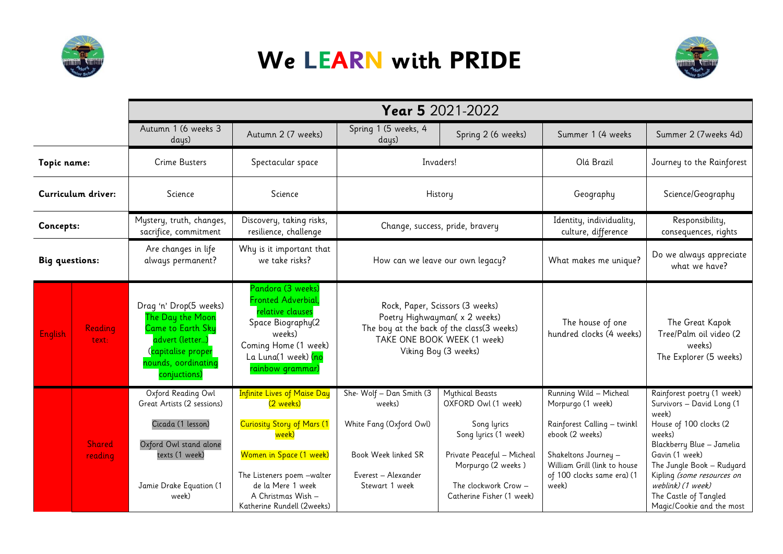

## **We LEARN with PRIDE**



|                       |                          | Year 5 2021-2022                                                                                                                                      |                                                                                                                                                                                                                                 |                                                                                                                                                                      |                                                                                                                                                                                               |                                                                                                                                                                                              |                                                                                                                                                                                                                                                                                           |
|-----------------------|--------------------------|-------------------------------------------------------------------------------------------------------------------------------------------------------|---------------------------------------------------------------------------------------------------------------------------------------------------------------------------------------------------------------------------------|----------------------------------------------------------------------------------------------------------------------------------------------------------------------|-----------------------------------------------------------------------------------------------------------------------------------------------------------------------------------------------|----------------------------------------------------------------------------------------------------------------------------------------------------------------------------------------------|-------------------------------------------------------------------------------------------------------------------------------------------------------------------------------------------------------------------------------------------------------------------------------------------|
|                       |                          | Autumn 1 (6 weeks 3<br>days)                                                                                                                          | Autumn 2 (7 weeks)                                                                                                                                                                                                              | Spring 1 (5 weeks, 4<br>days)                                                                                                                                        | Spring 2 (6 weeks)                                                                                                                                                                            | Summer 1 (4 weeks                                                                                                                                                                            | Summer 2 (7weeks 4d)                                                                                                                                                                                                                                                                      |
| Topic name:           |                          | <b>Crime Busters</b>                                                                                                                                  | Spectacular space                                                                                                                                                                                                               | Invaders!                                                                                                                                                            |                                                                                                                                                                                               | Olá Brazil                                                                                                                                                                                   | Journey to the Rainforest                                                                                                                                                                                                                                                                 |
| Curriculum driver:    |                          | Science                                                                                                                                               | Science                                                                                                                                                                                                                         | History                                                                                                                                                              |                                                                                                                                                                                               | Geography                                                                                                                                                                                    | Science/Geography                                                                                                                                                                                                                                                                         |
| Concepts:             |                          | Mystery, truth, changes,<br>sacrifice, commitment                                                                                                     | Discovery, taking risks,<br>resilience, challenge                                                                                                                                                                               | Change, success, pride, bravery                                                                                                                                      |                                                                                                                                                                                               | Identity, individuality,<br>culture, difference                                                                                                                                              | Responsibility,<br>consequences, rights                                                                                                                                                                                                                                                   |
| <b>Big questions:</b> |                          | Are changes in life<br>always permanent?                                                                                                              | Why is it important that<br>we take risks?                                                                                                                                                                                      | How can we leave our own legacy?                                                                                                                                     |                                                                                                                                                                                               | What makes me unique?                                                                                                                                                                        | Do we always appreciate<br>what we have?                                                                                                                                                                                                                                                  |
| <b>English</b>        | Reading<br>text:         | Drag 'n' Drop(5 weeks)<br>The Day the Moon<br><b>Came to Earth Sky</b><br>advert (letter)<br>Capitalise proper<br>nounds, oordinating<br>conjuctions) | Pandora (3 weeks)<br>Fronted Adverbial,<br>relative clauses<br>Space Biography(2<br>weeks)<br>Coming Home (1 week)<br>La Luna(1 week) <mark>(no</mark><br>rainbow grammar)                                                      | Rock, Paper, Scissors (3 weeks)<br>Poetry Highwayman( x 2 weeks)<br>The boy at the back of the class(3 weeks)<br>TAKE ONE BOOK WEEK (1 week)<br>Viking Boy (3 weeks) |                                                                                                                                                                                               | The house of one<br>hundred clocks (4 weeks)                                                                                                                                                 | The Great Kapok<br>Tree/Palm oil video (2<br>weeks)<br>The Explorer (5 weeks)                                                                                                                                                                                                             |
|                       | <b>Shared</b><br>reading | Oxford Reading Owl<br>Great Artists (2 sessions)<br>Cicada (1 lesson)<br>Oxford Owl stand alone<br>texts (1 week)<br>Jamie Drake Equation (1<br>week) | <b>Infinite Lives of Maise Day</b><br>(2 weeks)<br><b>Curiosity Story of Mars (1</b><br>week)<br>Women in Space (1 week)<br>The Listeners poem -walter<br>de la Mere 1 week<br>A Christmas Wish -<br>Katherine Rundell (2weeks) | She-Wolf - Dan Smith (3<br>weeks)<br>White Fang (Oxford Owl)<br>Book Week linked SR<br>Everest - Alexander<br>Stewart 1 week                                         | <b>Mythical Beasts</b><br>OXFORD Owl (1 week)<br>Song lyrics<br>Song lyrics (1 week)<br>Private Peaceful - Micheal<br>Morpurgo (2 weeks)<br>The clockwork Crow -<br>Catherine Fisher (1 week) | Running Wild - Micheal<br>Morpurgo (1 week)<br>Rainforest Calling - twinkl<br>ebook (2 weeks)<br>Shakeltons Journey -<br>William Grill (link to house<br>of 100 clocks same era) (1<br>week) | Rainforest poetry (1 week)<br>Survivors - David Long (1<br>week)<br>House of 100 clocks (2<br>weeks)<br>Blackberry Blue - Jamelia<br>Gavin (1 week)<br>The Jungle Book - Rudyard<br>Kipling (some resources on<br>weblink) (1 week)<br>The Castle of Tangled<br>Magic/Cookie and the most |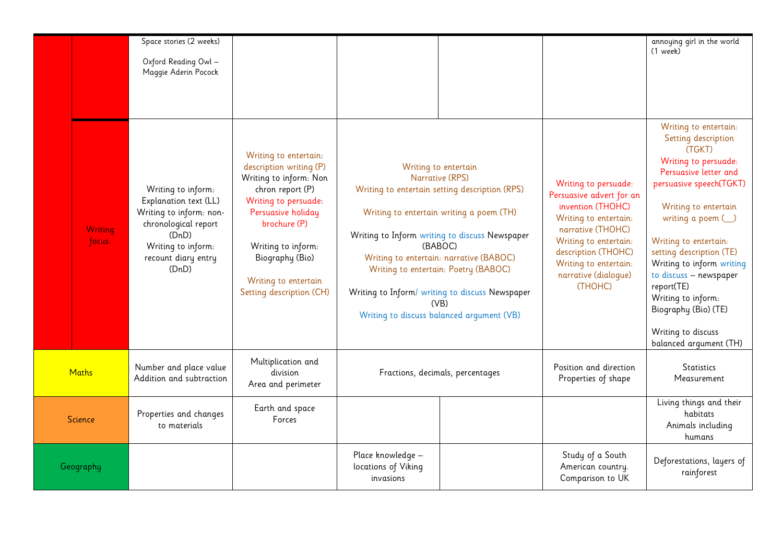|              |                          | Space stories (2 weeks)<br>Oxford Reading Owl -<br>Maggie Aderin Pocock                                                                                       |                                                                                                                                                                                                                                                           |                                                                                                                                                                                                                                                                                                                                                                                               |  |                                                                                                                                                                                                                                 | annoying girl in the world<br>$(1$ week)                                                                                                                                                                                                                                                                                                                                                                       |
|--------------|--------------------------|---------------------------------------------------------------------------------------------------------------------------------------------------------------|-----------------------------------------------------------------------------------------------------------------------------------------------------------------------------------------------------------------------------------------------------------|-----------------------------------------------------------------------------------------------------------------------------------------------------------------------------------------------------------------------------------------------------------------------------------------------------------------------------------------------------------------------------------------------|--|---------------------------------------------------------------------------------------------------------------------------------------------------------------------------------------------------------------------------------|----------------------------------------------------------------------------------------------------------------------------------------------------------------------------------------------------------------------------------------------------------------------------------------------------------------------------------------------------------------------------------------------------------------|
|              | <b>Writing</b><br>focus: | Writing to inform:<br>Explanation text (LL)<br>Writing to inform: non-<br>chronological report<br>(DnD)<br>Writing to inform:<br>recount diary entry<br>(DnD) | Writing to entertain:<br>description writing (P)<br>Writing to inform: Non<br>chron report (P)<br>Writing to persuade:<br>Persuasive holiday<br>brochure (P)<br>Writing to inform:<br>Biography (Bio)<br>Writing to entertain<br>Setting description (CH) | Writing to entertain<br>Narrative (RPS)<br>Writing to entertain setting description (RPS)<br>Writing to entertain writing a poem (TH)<br>Writing to Inform writing to discuss Newspaper<br>(BABOC)<br>Writing to entertain: narrative (BABOC)<br>Writing to entertain: Poetry (BABOC)<br>Writing to Inform/ writing to discuss Newspaper<br>(VB)<br>Writing to discuss balanced argument (VB) |  | Writing to persuade:<br>Persuasive advert for an<br>invention (THOHC)<br>Writing to entertain:<br>narrative (THOHC)<br>Writing to entertain:<br>description (THOHC)<br>Writing to entertain:<br>narrative (dialoque)<br>(THOHC) | Writing to entertain:<br>Setting description<br>(TGKT)<br>Writing to persuade:<br>Persuasive letter and<br>persuasive speech(TGKT)<br>Writing to entertain<br>writing a poem $\bigcup$<br>Writing to entertain:<br>setting description (TE)<br>Writing to inform writing<br>to discuss - newspaper<br>report(TE)<br>Writing to inform:<br>Biography (Bio) (TE)<br>Writing to discuss<br>balanced argument (TH) |
| <b>Maths</b> |                          | Number and place value<br>Addition and subtraction                                                                                                            | Multiplication and<br>division<br>Area and perimeter                                                                                                                                                                                                      | Fractions, decimals, percentages                                                                                                                                                                                                                                                                                                                                                              |  | Position and direction<br>Properties of shape                                                                                                                                                                                   | <b>Statistics</b><br>Measurement                                                                                                                                                                                                                                                                                                                                                                               |
| Science      |                          | Properties and changes<br>to materials                                                                                                                        | Earth and space<br>Forces                                                                                                                                                                                                                                 |                                                                                                                                                                                                                                                                                                                                                                                               |  |                                                                                                                                                                                                                                 | Living things and their<br>habitats<br>Animals including<br>humans                                                                                                                                                                                                                                                                                                                                             |
| Geography    |                          |                                                                                                                                                               |                                                                                                                                                                                                                                                           | Place knowledge -<br>locations of Viking<br>invasions                                                                                                                                                                                                                                                                                                                                         |  | Study of a South<br>American country.<br>Comparison to UK                                                                                                                                                                       | Deforestations, layers of<br>rainforest                                                                                                                                                                                                                                                                                                                                                                        |